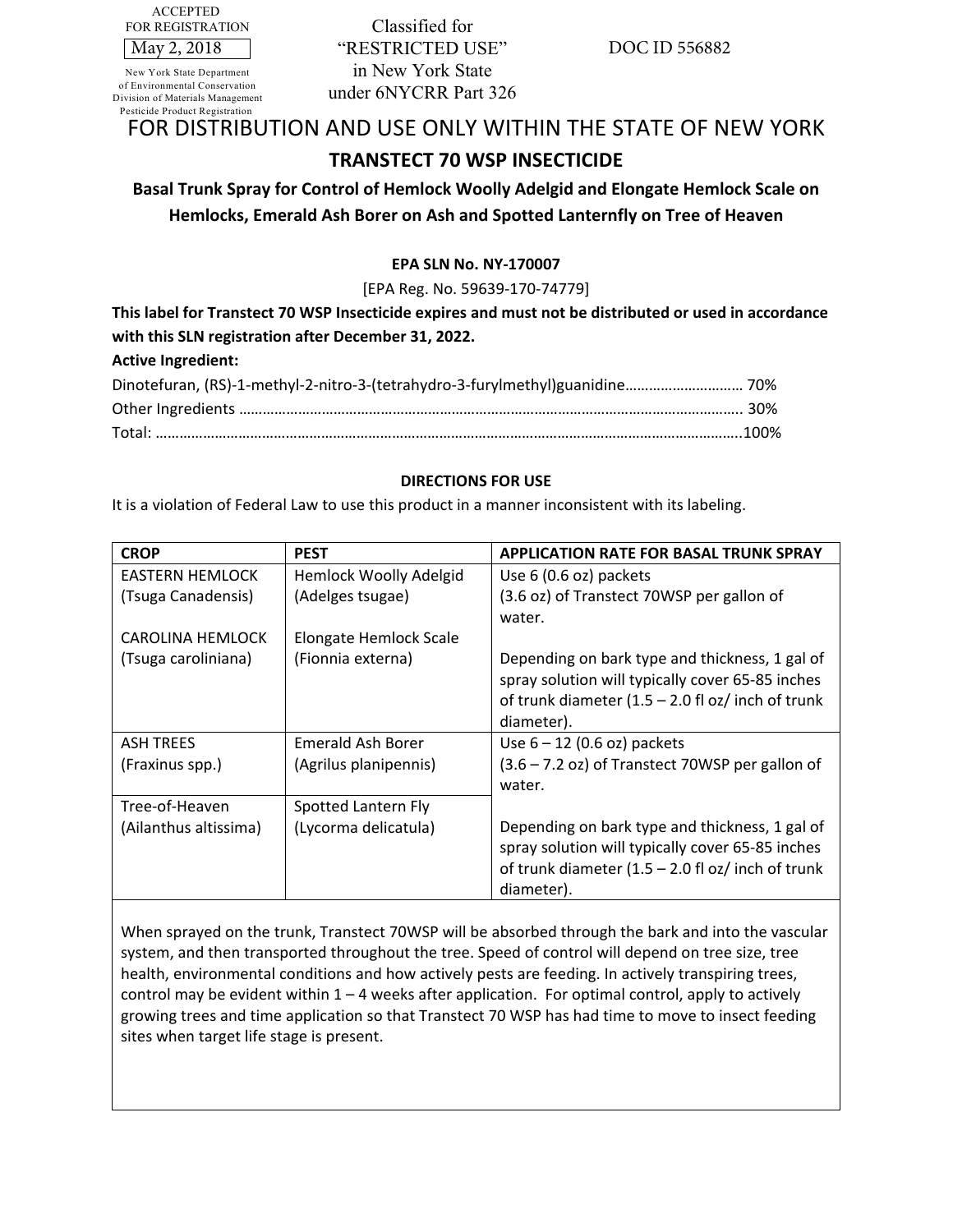ACCEPTED FOR REGISTRATION

New York State Department of Environmental Conservation Division of Materials Management Pesticide Product Registration

May 2, 2018 <br>
"RESTRICTED USE" DOC ID 556882 Classified for in New York State under 6NYCRR Part 326

## FOR DISTRIBUTION AND USE ONLY WITHIN THE STATE OF NEW YORK

### **TRANSTECT 70 WSP INSECTICIDE**

# **Basal Trunk Spray for Control of Hemlock Woolly Adelgid and Elongate Hemlock Scale on Hemlocks, Emerald Ash Borer on Ash and Spotted Lanternfly on Tree of Heaven**

#### **EPA SLN No. NY‐170007**

[EPA Reg. No. 59639‐170‐74779]

**This label for Transtect 70 WSP Insecticide expires and must not be distributed or used in accordance with this SLN registration after December 31, 2022.**

#### **Active Ingredient:**

| Dinotefuran, (RS)-1-methyl-2-nitro-3-(tetrahydro-3-furylmethyl)guanidine 70% |  |
|------------------------------------------------------------------------------|--|
|                                                                              |  |
|                                                                              |  |

#### **DIRECTIONS FOR USE**

It is a violation of Federal Law to use this product in a manner inconsistent with its labeling.

| <b>CROP</b>            | <b>PEST</b>            | <b>APPLICATION RATE FOR BASAL TRUNK SPRAY</b>             |
|------------------------|------------------------|-----------------------------------------------------------|
| <b>EASTERN HEMLOCK</b> | Hemlock Woolly Adelgid | Use 6 (0.6 oz) packets                                    |
| (Tsuga Canadensis)     | (Adelges tsugae)       | (3.6 oz) of Transtect 70WSP per gallon of                 |
|                        |                        | water.                                                    |
| CAROLINA HEMLOCK       | Elongate Hemlock Scale |                                                           |
| (Tsuga caroliniana)    | (Fionnia externa)      | Depending on bark type and thickness, 1 gal of            |
|                        |                        | spray solution will typically cover 65-85 inches          |
|                        |                        | of trunk diameter $(1.5 - 2.0$ fl oz/ inch of trunk       |
|                        |                        | diameter).                                                |
| <b>ASH TREES</b>       | Emerald Ash Borer      | Use $6 - 12$ (0.6 oz) packets                             |
| (Fraxinus spp.)        | (Agrilus planipennis)  | $(3.6 - 7.2 \text{ oz})$ of Transtect 70WSP per gallon of |
|                        |                        | water.                                                    |
| Tree-of-Heaven         | Spotted Lantern Fly    |                                                           |
| (Ailanthus altissima)  | (Lycorma delicatula)   | Depending on bark type and thickness, 1 gal of            |
|                        |                        | spray solution will typically cover 65-85 inches          |
|                        |                        | of trunk diameter $(1.5 - 2.0$ fl oz/ inch of trunk       |
|                        |                        | diameter).                                                |

When sprayed on the trunk, Transtect 70WSP will be absorbed through the bark and into the vascular system, and then transported throughout the tree. Speed of control will depend on tree size, tree health, environmental conditions and how actively pests are feeding. In actively transpiring trees, control may be evident within  $1 - 4$  weeks after application. For optimal control, apply to actively growing trees and time application so that Transtect 70 WSP has had time to move to insect feeding sites when target life stage is present.